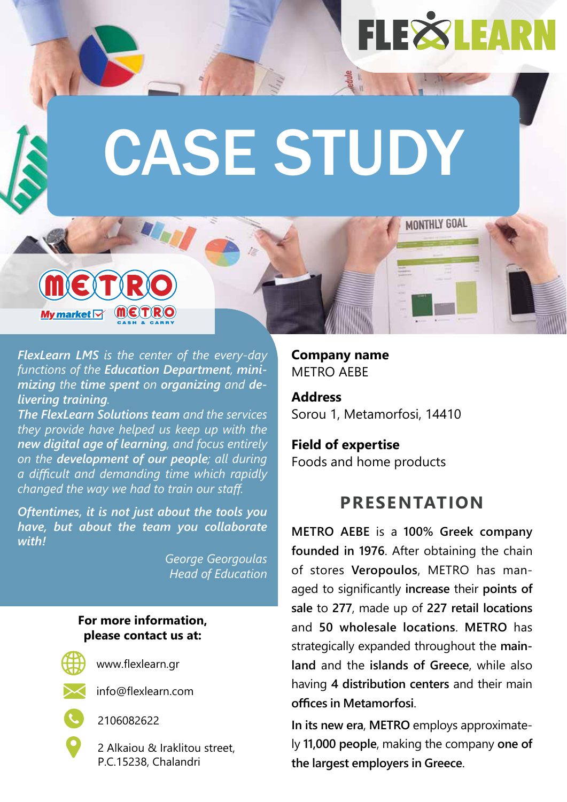## **FLEXSLEAR**

MONTHLY GOAL

# CASE STUDY

*FlexLearn LMS is the center of the every-day functions of the Education Department, minimizing the time spent on organizing and delivering training.*

*The FlexLearn Solutions team and the services they provide have helped us keep up with the new digital age of learning, and focus entirely on the development of our people; all during a diffi cult and demanding time which rapidly changed the way we had to train our staff .*

*Oftentimes, it is not just about the tools you have, but about the team you collaborate with!*

> *George Georgoulas Head of Education*

#### **For more information, please contact us at:**



My market  $\nabla$ 

www.flexlearn.gr



info@flexlearn.com



2106082622

2 Alkaiou & Iraklitou street, P.C.15238, Chalandri

**Company name** METRO AFRE

**Address** Sorou 1, Metamorfosi, 14410

**Field of expertise** Foods and home products

#### **PRESENTATION**

**METRO AEBE** is a **100% Greek company founded in 1976**. After obtaining the chain of stores **Veropoulos**, METRO has managed to significantly **increase** their **points of sale** to **277**, made up of **227 retail locations** and **50 wholesale locations**. **METRO** has strategically expanded throughout the **mainland** and the **islands of Greece**, while also having **4 distribution centers** and their main **offi ces in Metamorfosi**.

**In its new era**, **METRO** employs approximately **11,000 people**, making the company **one of the largest employers in Greece**.